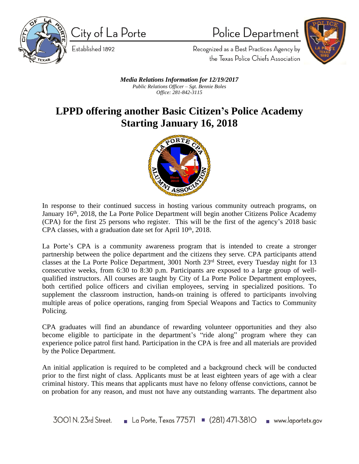

City of La Porte

Established 1892

Police Department



Recognized as a Best Practices Agency by the Texas Police Chiefs Association

*Media Relations Information for 12/19/2017 Public Relations Officer – Sgt. Bennie Boles Office: 281-842-3115*

## **LPPD offering another Basic Citizen's Police Academy Starting January 16, 2018**



In response to their continued success in hosting various community outreach programs, on January 16<sup>th</sup>, 2018, the La Porte Police Department will begin another Citizens Police Academy (CPA) for the first 25 persons who register. This will be the first of the agency's 2018 basic CPA classes, with a graduation date set for April  $10<sup>th</sup>$ , 2018.

La Porte's CPA is a community awareness program that is intended to create a stronger partnership between the police department and the citizens they serve. CPA participants attend classes at the La Porte Police Department, 3001 North 23rd Street, every Tuesday night for 13 consecutive weeks, from 6:30 to 8:30 p.m. Participants are exposed to a large group of wellqualified instructors. All courses are taught by City of La Porte Police Department employees, both certified police officers and civilian employees, serving in specialized positions. To supplement the classroom instruction, hands-on training is offered to participants involving multiple areas of police operations, ranging from Special Weapons and Tactics to Community Policing.

CPA graduates will find an abundance of rewarding volunteer opportunities and they also become eligible to participate in the department's "ride along" program where they can experience police patrol first hand. Participation in the CPA is free and all materials are provided by the Police Department.

An initial application is required to be completed and a background check will be conducted prior to the first night of class. Applicants must be at least eighteen years of age with a clear criminal history. This means that applicants must have no felony offense convictions, cannot be on probation for any reason, and must not have any outstanding warrants. The department also